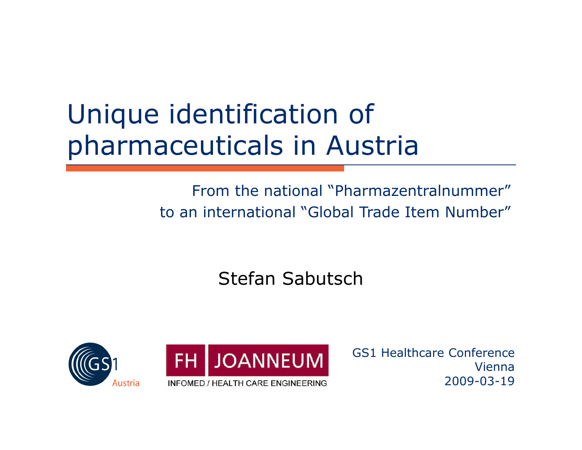#### Unique identification of pharmaceuticals in Austria

#### From the national "Pharmazentralnummer" to an international "Global Trade Item Number"

#### Stefan Sabutsch





GS1 Healthcare Conference Vienna2009-03-19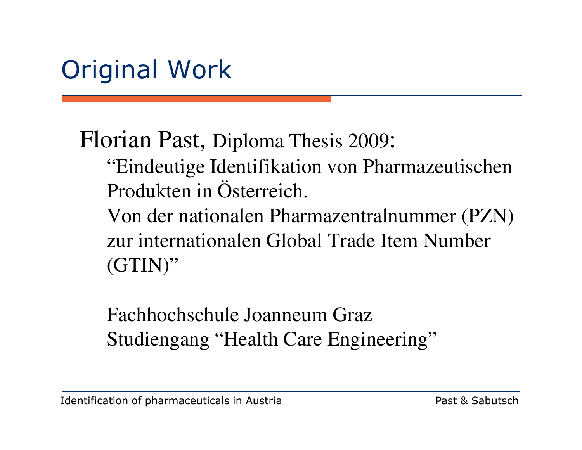#### Original Work

Florian Past, Diploma Thesis 2009:

- "Eindeutige Identifikation von Pharmazeutischen Produkten in Österreich.
- Von der nationalen Pharmazentralnummer (PZN) zur internationalen Global Trade Item Number  $(GTIN)$ "

Fachhochschule Joanneum GrazStudiengang "Health Care Engineering"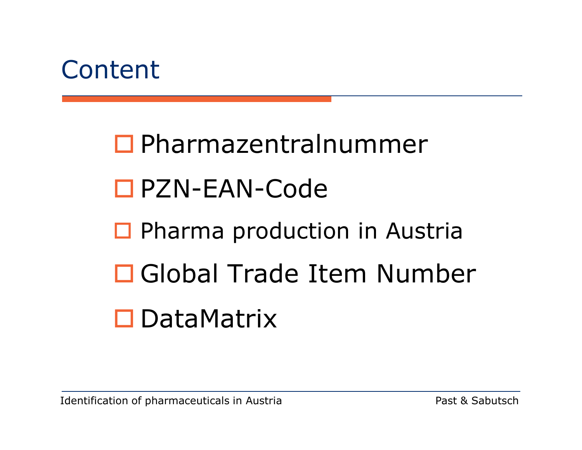

 Pharmazentralnummer PZN-EAN-Code □ Pharma production in Austria Global Trade Item Number DataMatrix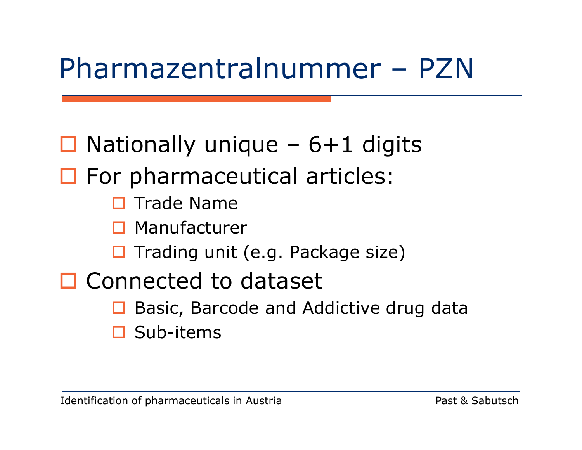## Pharmazentralnummer – PZN

#### $\Box$  Nationally unique – 6+1 digits **O** For pharmaceutical articles:  $\blacksquare$  Trade Name  $\square$  Manufacturer  $\blacksquare$  Trading unit (e.g. Package size) D Connected to dataset

- $\Box$ Basic, Barcode and Addictive drug data
- $\blacksquare$ Sub-items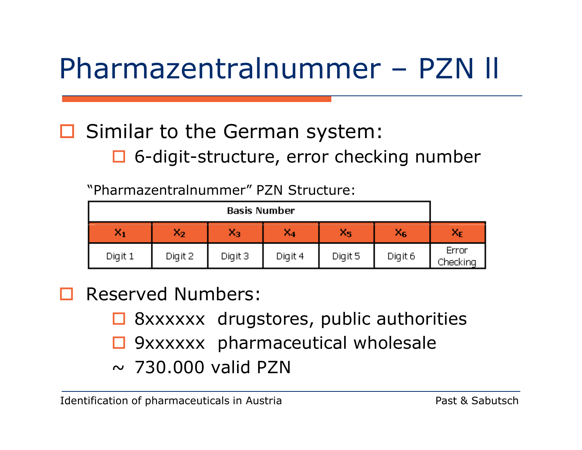# Pharmazentralnummer – PZN ll

# □ Similar to the German system:

□ 6-digit-structure, error checking number

"Pharmazentralnummer" PZN Structure:

| Basis Number   |         |         |         |         |         |                   |
|----------------|---------|---------|---------|---------|---------|-------------------|
| X <sub>1</sub> | $x_2$   | ×з      | X4      | $X_{5}$ | $X_6$   | $X_{E}$           |
| Digit 1        | Digit 2 | Digit 3 | Digit 4 | Digit 5 | Digit 6 | Error<br>Checking |

- $\blacksquare$  Reserved Numbers:
	- $\Box$  8xxxxxx drugstores, public authorities
	- $\blacksquare$ 9xxxxxx pharmaceutical wholesale
	- $\sim$  730.000 valid PZN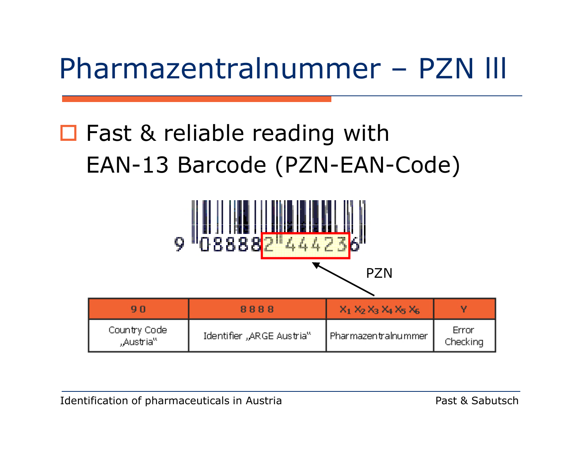## Pharmazentralnummer – PZN lll

#### □ Fast & reliable reading with EAN-13 Barcode (PZN-EAN-Code)

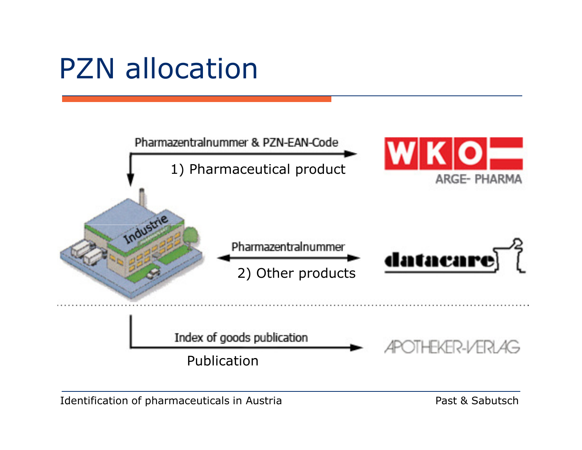## PZN allocation

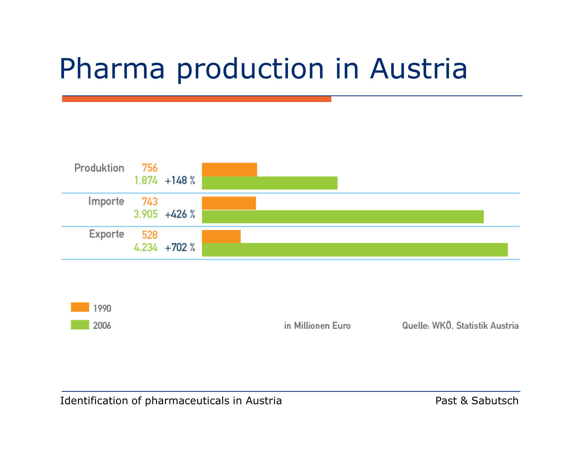### Pharma production in Austria





in Millionen Euro

Quelle: WKÖ, Statistik Austria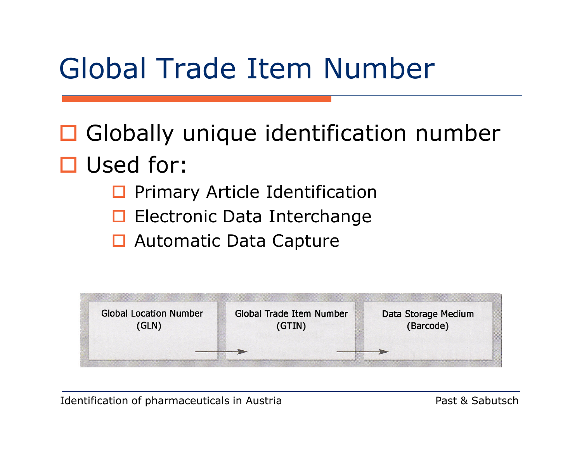### Global Trade Item Number

**Globally unique identification number** □ Used for:<br>□ Prima

- $\Box$ Primary Article Identification
- **Electronic Data Interchange**
- $\Box$ Automatic Data Capture



Identification of pharmaceuticals in Austria **Past & Sabutsch** Past & Sabutsch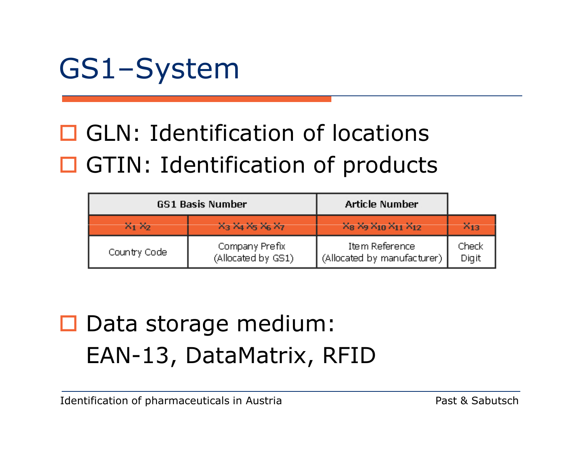

# **GLN: Identification of locations** □ GTIN: Identification of products

|              | <b>GS1 Basis Number</b>                                                    | <b>Article Number</b>                         |                |
|--------------|----------------------------------------------------------------------------|-----------------------------------------------|----------------|
| $X_1 X_2$    | X <sub>3</sub> X <sub>4</sub> X <sub>5</sub> X <sub>6</sub> X <sub>7</sub> | $X_8$ $X_9$ $X_{10}$ $X_{11}$ $X_{12}$        | $X_{13}$       |
| Country Code | Company Prefix<br>(Allocated by GS1)                                       | Item Reference<br>(Allocated by manufacturer) | Check<br>Digit |

#### Data storage medium: EAN-13, DataMatrix, RFID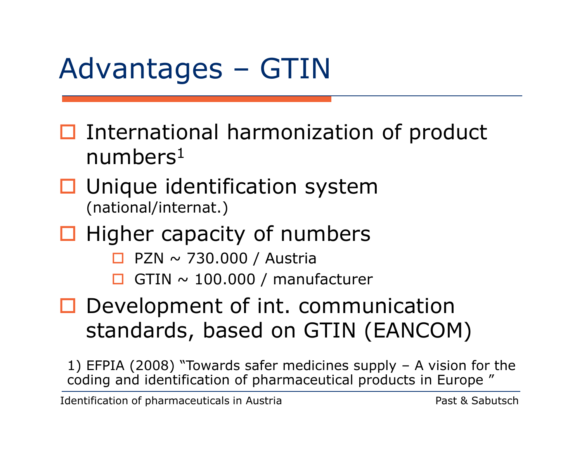# Advantages – GTIN

- $\Box$  International harmonization of product<br>numbers<sup>1</sup> numbers $^1$
- $\Box$  Unique identification system<br>(national/internat.) (national/internat.)
- $\Box$  Higher capacity of numbers
	- $\blacksquare$ PZN ~ 730.000 / Austria
	- $\blacksquare$  $GTIN \sim 100.000 /$  manufacturer
- D Development of int. communication standards, based on GTIN (EANCOM)

1) EFPIA (2008) "Towards safer medicines supply – A vision for the coding and identification of pharmaceutical products in Europe "

Identification of pharmaceuticals in Austria **Past & Sabutsch** Past & Sabutsch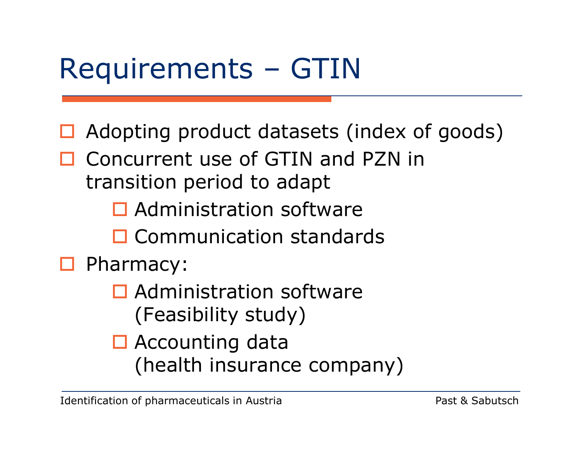## Requirements – GTIN

- $\Box$  Adopting product datasets (index of goods)
- □ Concurrent use of GTIN and PZN in<br>transition period to adant transition period to adapt
	- **Q** Administration software
	- **Q** Communication standards

# **D** Pharmacy:

- $\Box$  Administration software (Feasibility study)
- Accounting data (health insurance company)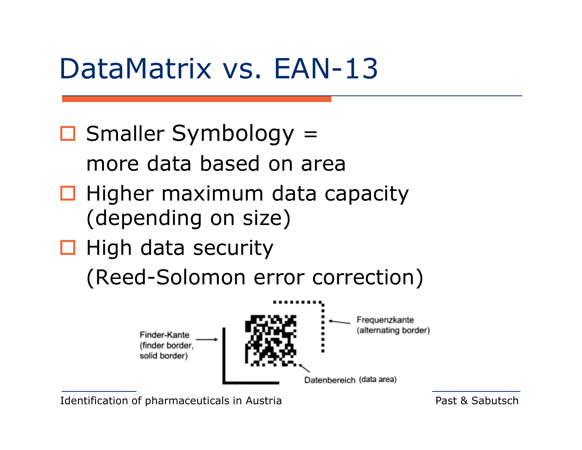#### DataMatrix vs. EAN-13

■ Smaller Symbology = more data based on area

- $\Box$  Higher maximum data capacity (depending on size)
- $\Box$  High data security

(Reed-Solomon error correction)



Identification of pharmaceuticals in Austria **Past & Sabutsch** Past & Sabutsch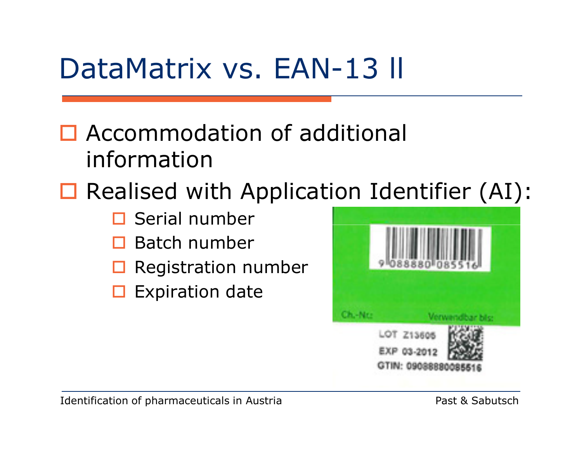### DataMatrix vs. EAN-13 ll

#### □ Accommodation of additional information

# $\Box$  Realised with Application Identifier (AI):<br>  $\Box$  Serial number

- $\blacksquare$ Serial number
- $\Box$  Batch number
- $\blacksquare$ Registration number
- $\Box$ Expiration date

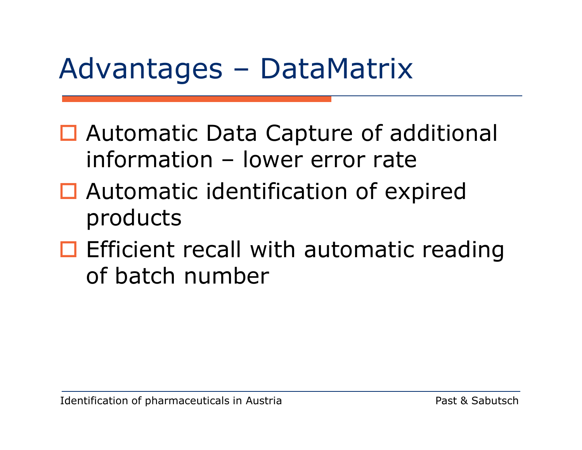#### Advantages – DataMatrix

- $\Box$  Automatic Data Capture of additional information – lower error rate
- □ Automatic identification of expired products
- $\Box$  Efficient recall with automatic reading<br>
of hatch number of batch number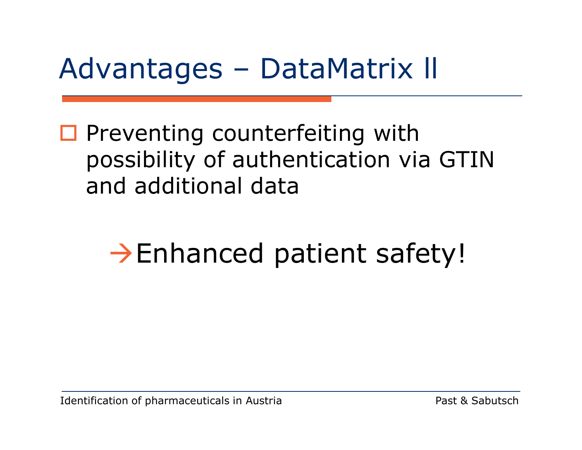#### Advantages – DataMatrix ll

**O** Preventing counterfeiting with possibility of authentication via GTIN and additional data

# -Enhanced patient safety!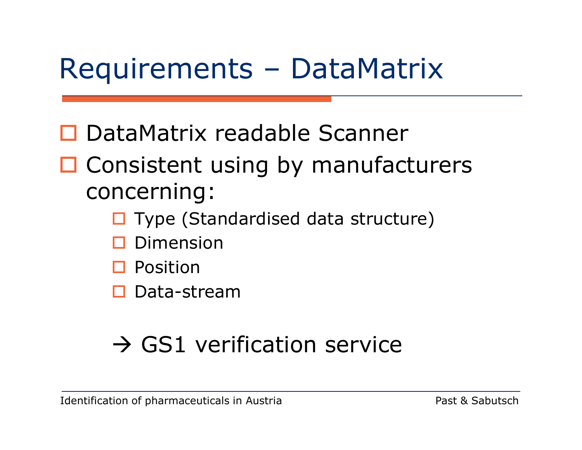#### Requirements – DataMatrix

- □ DataMatrix readable Scanner
- □ Consistent using by manufacturers concerning:
	- □ Type (Standardised data structure)
	- $\blacksquare$ Dimension
	- $\square$  Position
	- □ Data-stream

# - GS1 verification service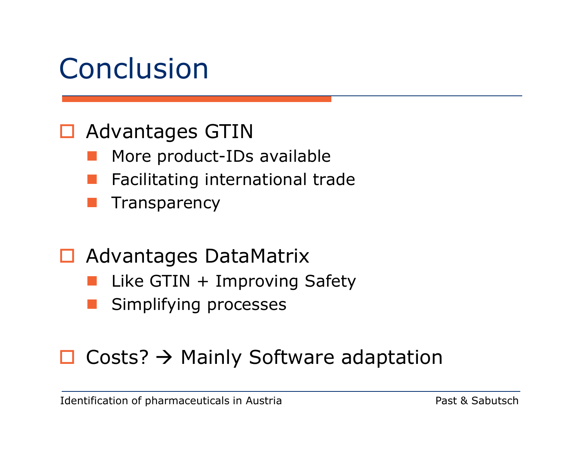#### Conclusion

# **□ Advantages GTIN**

- **CONTRACTOR** More product-IDs available
- **Service Service** Facilitating international trade
- **Transparency**
- Advantages DataMatrix
	- **Service Service** Like GTIN + Improving Safety
	- Simplifying processes

# $\Box$  Costs?  $\rightarrow$  Mainly Software adaptation